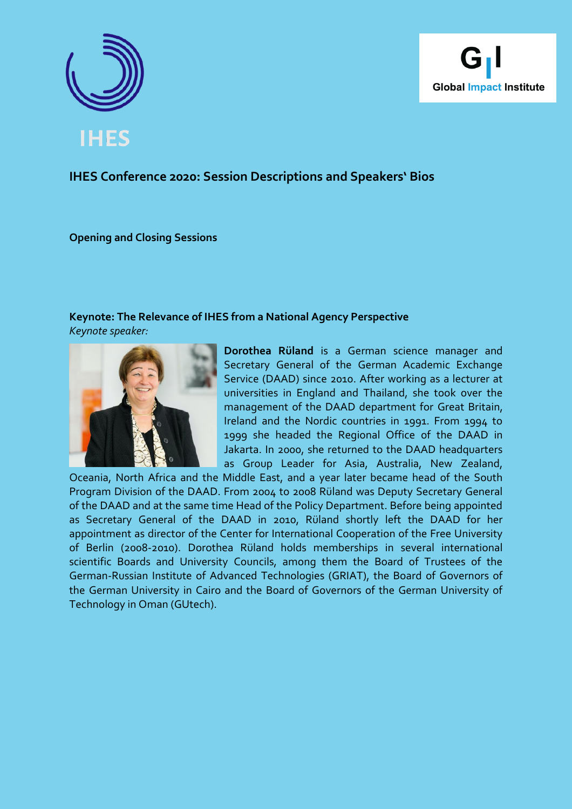



# **IHES Conference 2020: Session Descriptions and Speakers' Bios**

**Opening and Closing Sessions**

# **Keynote: The Relevance of IHES from a National Agency Perspective**

*Keynote speaker:*



**Dorothea Rüland** is a German science manager and Secretary General of the German Academic Exchange Service (DAAD) since 2010. After working as a lecturer at universities in England and Thailand, she took over the management of the DAAD department for Great Britain, Ireland and the Nordic countries in 1991. From 1994 to 1999 she headed the Regional Office of the DAAD in Jakarta. In 2000, she returned to the DAAD headquarters as Group Leader for Asia, Australia, New Zealand,

Oceania, North Africa and the Middle East, and a year later became head of the South Program Division of the DAAD. From 2004 to 2008 Rüland was Deputy Secretary General of the DAAD and at the same time Head of the Policy Department. Before being appointed as Secretary General of the DAAD in 2010, Rüland shortly left the DAAD for her appointment as director of the Center for International Cooperation of the Free University of Berlin (2008-2010). Dorothea Rüland holds memberships in several international scientific Boards and University Councils, among them the Board of Trustees of the German-Russian Institute of Advanced Technologies (GRIAT), the Board of Governors of the German University in Cairo and the Board of Governors of the German University of Technology in Oman (GUtech).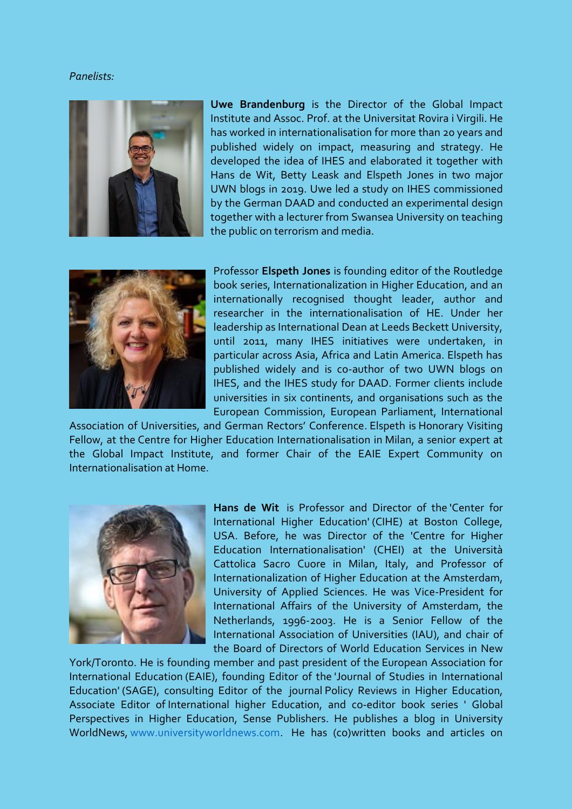### *Panelists:*



**Uwe Brandenburg** is the Director of the Global Impact Institute and Assoc. Prof. at the Universitat Rovira i Virgili. He has worked in internationalisation for more than 20 years and published widely on impact, measuring and strategy. He developed the idea of IHES and elaborated it together with Hans de Wit, Betty Leask and Elspeth Jones in two major UWN blogs in 2019. Uwe led a study on IHES commissioned by the German DAAD and conducted an experimental design together with a lecturer from Swansea University on teaching the public on terrorism and media.



Professor **Elspeth Jones** is founding editor of the Routledge book series, Internationalization in Higher Education, and an internationally recognised thought leader, author and researcher in the internationalisation of HE. Under her leadership as International Dean at Leeds Beckett University, until 2011, many IHES initiatives were undertaken, in particular across Asia, Africa and Latin America. Elspeth has published widely and is co-author of two UWN blogs on IHES, and the IHES study for DAAD. Former clients include universities in six continents, and organisations such as the European Commission, European Parliament, International

Association of Universities, and German Rectors' Conference. Elspeth is Honorary Visiting Fellow, at the Centre for Higher Education Internationalisation in Milan, a senior expert at the Global Impact Institute, and former Chair of the EAIE Expert Community on Internationalisation at Home.



**Hans de Wit** is Professor and Director of the 'Center for International Higher Education' (CIHE) at Boston College, USA. Before, he was Director of the 'Centre for Higher Education Internationalisation' (CHEI) at the Università Cattolica Sacro Cuore in Milan, Italy, and Professor of Internationalization of Higher Education at the Amsterdam, University of Applied Sciences. He was Vice-President for International Affairs of the University of Amsterdam, the Netherlands, 1996-2003. He is a Senior Fellow of the International Association of Universities (IAU), and chair of the Board of Directors of World Education Services in New

York/Toronto. He is founding member and past president of the European Association for International Education (EAIE), founding Editor of the 'Journal of Studies in International Education' (SAGE), consulting Editor of the journal Policy Reviews in Higher Education, Associate Editor of International higher Education, and co-editor book series ' Global Perspectives in Higher Education, Sense Publishers. He publishes a blog in University WorldNews, [www.universityworldnews.com.](http://www.universityworldnews.com/) He has (co)written books and articles on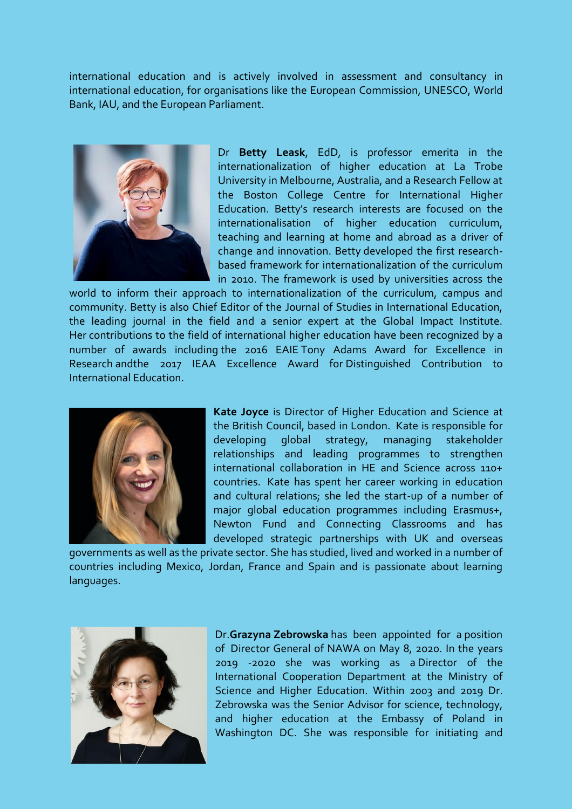international education and is actively involved in assessment and consultancy in international education, for organisations like the European Commission, UNESCO, World Bank, IAU, and the European Parliament.



Dr **Betty Leask**, EdD, is professor emerita in the internationalization of higher education at La Trobe University in Melbourne, Australia, and a Research Fellow at the Boston College Centre for International Higher Education. Betty's research interests are focused on the internationalisation of higher education curriculum, teaching and learning at home and abroad as a driver of change and innovation. Betty developed the first researchbased framework for internationalization of the curriculum in 2010. The framework is used by universities across the

world to inform their approach to internationalization of the curriculum, campus and community. Betty is also Chief Editor of the Journal of Studies in International Education, the leading journal in the field and a senior expert at the Global Impact Institute. Her contributions to the field of international higher education have been recognized by a number of awards including the 2016 EAIE Tony Adams Award for Excellence in Research andthe 2017 IEAA Excellence Award for Distinguished Contribution to International Education.



**Kate Joyce** is Director of Higher Education and Science at the British Council, based in London. Kate is responsible for developing global strategy, managing stakeholder relationships and leading programmes to strengthen international collaboration in HE and Science across 110+ countries. Kate has spent her career working in education and cultural relations; she led the start-up of a number of major global education programmes including Erasmus+, Newton Fund and Connecting Classrooms and has developed strategic partnerships with UK and overseas

governments as well as the private sector. She has studied, lived and worked in a number of countries including Mexico, Jordan, France and Spain and is passionate about learning languages.



Dr.**Grazyna Zebrowska** has been appointed for a position of Director General of NAWA on May 8, 2020. In the years 2019 -2020 she was working as a Director of the International Cooperation Department at the Ministry of Science and Higher Education. Within 2003 and 2019 Dr. Zebrowska was the Senior Advisor for science, technology, and higher education at the Embassy of Poland in Washington DC. She was responsible for initiating and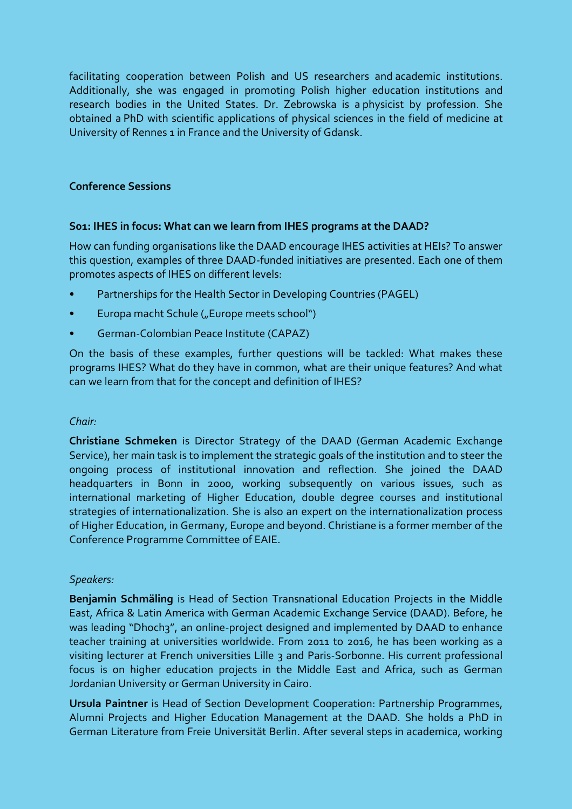facilitating cooperation between Polish and US researchers and academic institutions. Additionally, she was engaged in promoting Polish higher education institutions and research bodies in the United States. Dr. Zebrowska is a physicist by profession. She obtained a PhD with scientific applications of physical sciences in the field of medicine at University of Rennes 1 in France and the University of Gdansk.

### **Conference Sessions**

### **S01: IHES in focus: What can we learn from IHES programs at the DAAD?**

How can funding organisations like the DAAD encourage IHES activities at HEIs? To answer this question, examples of three DAAD-funded initiatives are presented. Each one of them promotes aspects of IHES on different levels:

- Partnerships for the Health Sector in Developing Countries (PAGEL)
- Europa macht Schule ("Europe meets school")
- German-Colombian Peace Institute (CAPAZ)

On the basis of these examples, further questions will be tackled: What makes these programs IHES? What do they have in common, what are their unique features? And what can we learn from that for the concept and definition of IHES?

### *Chair:*

**Christiane Schmeken** is Director Strategy of the DAAD (German Academic Exchange Service), her main task is to implement the strategic goals of the institution and to steer the ongoing process of institutional innovation and reflection. She joined the DAAD headquarters in Bonn in 2000, working subsequently on various issues, such as international marketing of Higher Education, double degree courses and institutional strategies of internationalization. She is also an expert on the internationalization process of Higher Education, in Germany, Europe and beyond. Christiane is a former member of the Conference Programme Committee of EAIE.

### *Speakers:*

**Benjamin Schmäling** is Head of Section Transnational Education Projects in the Middle East, Africa & Latin America with German Academic Exchange Service (DAAD). Before, he was leading "Dhoch3", an online-project designed and implemented by DAAD to enhance teacher training at universities worldwide. From 2011 to 2016, he has been working as a visiting lecturer at French universities Lille 3 and Paris-Sorbonne. His current professional focus is on higher education projects in the Middle East and Africa, such as German Jordanian University or German University in Cairo.

**Ursula Paintner** is Head of Section Development Cooperation: Partnership Programmes, Alumni Projects and Higher Education Management at the DAAD. She holds a PhD in German Literature from Freie Universität Berlin. After several steps in academica, working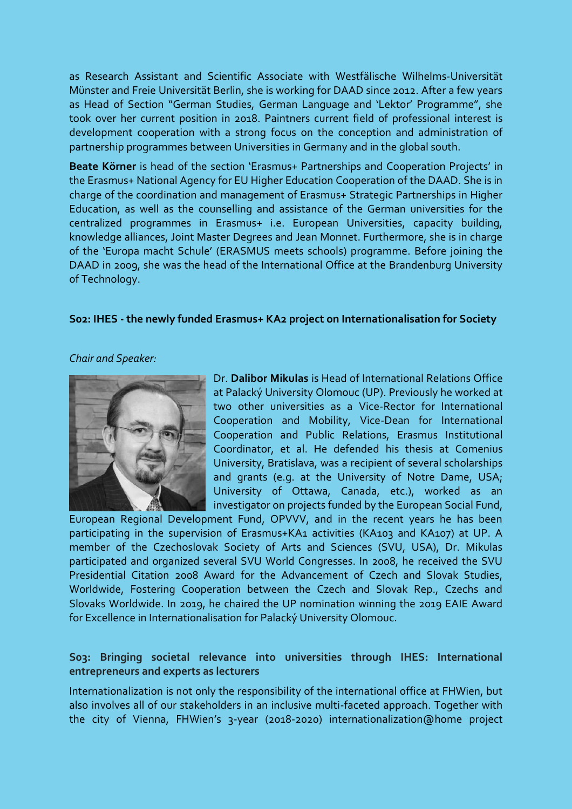as Research Assistant and Scientific Associate with Westfälische Wilhelms-Universität Münster and Freie Universität Berlin, she is working for DAAD since 2012. After a few years as Head of Section "German Studies, German Language and 'Lektor' Programme", she took over her current position in 2018. Paintners current field of professional interest is development cooperation with a strong focus on the conception and administration of partnership programmes between Universities in Germany and in the global south.

**Beate Körner** is head of the section 'Erasmus+ Partnerships and Cooperation Projects' in the Erasmus+ National Agency for EU Higher Education Cooperation of the DAAD. She is in charge of the coordination and management of Erasmus+ Strategic Partnerships in Higher Education, as well as the counselling and assistance of the German universities for the centralized programmes in Erasmus+ i.e. European Universities, capacity building, knowledge alliances, Joint Master Degrees and Jean Monnet. Furthermore, she is in charge of the 'Europa macht Schule' (ERASMUS meets schools) programme. Before joining the DAAD in 2009, she was the head of the International Office at the Brandenburg University of Technology.

### **S02: IHES - the newly funded Erasmus+ KA2 project on Internationalisation for Society**

#### *Chair and Speaker:*



Dr. **Dalibor Mikulas** is Head of International Relations Office at Palacký University Olomouc (UP). Previously he worked at two other universities as a Vice-Rector for International Cooperation and Mobility, Vice-Dean for International Cooperation and Public Relations, Erasmus Institutional Coordinator, et al. He defended his thesis at Comenius University, Bratislava, was a recipient of several scholarships and grants (e.g. at the University of Notre Dame, USA; University of Ottawa, Canada, etc.), worked as an investigator on projects funded by the European Social Fund,

European Regional Development Fund, OPVVV, and in the recent years he has been participating in the supervision of Erasmus+KA1 activities (KA103 and KA107) at UP. A member of the Czechoslovak Society of Arts and Sciences (SVU, USA), Dr. Mikulas participated and organized several SVU World Congresses. In 2008, he received the SVU Presidential Citation 2008 Award for the Advancement of Czech and Slovak Studies, Worldwide, Fostering Cooperation between the Czech and Slovak Rep., Czechs and Slovaks Worldwide. In 2019, he chaired the UP nomination winning the 2019 EAIE Award for Excellence in Internationalisation for Palacký University Olomouc.

### **S03: Bringing societal relevance into universities through IHES: International entrepreneurs and experts as lecturers**

Internationalization is not only the responsibility of the international office at FHWien, but also involves all of our stakeholders in an inclusive multi-faceted approach. Together with the city of Vienna, FHWien's 3-year (2018-2020) internationalization@home project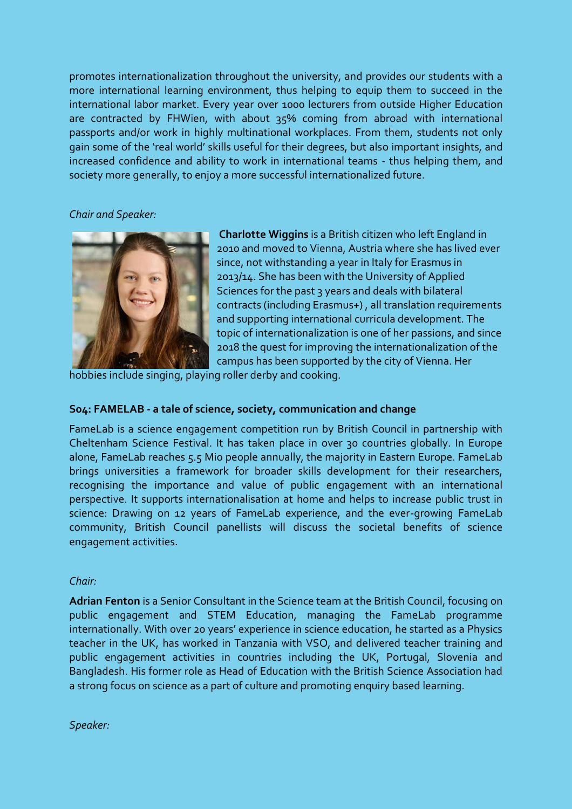promotes internationalization throughout the university, and provides our students with a more international learning environment, thus helping to equip them to succeed in the international labor market. Every year over 1000 lecturers from outside Higher Education are contracted by FHWien, with about 35% coming from abroad with international passports and/or work in highly multinational workplaces. From them, students not only gain some of the 'real world' skills useful for their degrees, but also important insights, and increased confidence and ability to work in international teams - thus helping them, and society more generally, to enjoy a more successful internationalized future.

*Chair and Speaker:*



**Charlotte Wiggins** is a British citizen who left England in 2010 and moved to Vienna, Austria where she has lived ever since, not withstanding a year in Italy for Erasmus in 2013/14. She has been with the University of Applied Sciences for the past 3 years and deals with bilateral contracts (including Erasmus+) , all translation requirements and supporting international curricula development. The topic of internationalization is one of her passions, and since 2018 the quest for improving the internationalization of the campus has been supported by the city of Vienna. Her

hobbies include singing, playing roller derby and cooking.

### **S04: FAMELAB - a tale of science, society, communication and change**

FameLab is a science engagement competition run by British Council in partnership with Cheltenham Science Festival. It has taken place in over 30 countries globally. In Europe alone, FameLab reaches 5.5 Mio people annually, the majority in Eastern Europe. FameLab brings universities a framework for broader skills development for their researchers, recognising the importance and value of public engagement with an international perspective. It supports internationalisation at home and helps to increase public trust in science: Drawing on 12 years of FameLab experience, and the ever-growing FameLab community, British Council panellists will discuss the societal benefits of science engagement activities.

### *Chair:*

**Adrian Fenton** is a Senior Consultant in the Science team at the British Council, focusing on public engagement and STEM Education, managing the FameLab programme internationally. With over 20 years' experience in science education, he started as a Physics teacher in the UK, has worked in Tanzania with VSO, and delivered teacher training and public engagement activities in countries including the UK, Portugal, Slovenia and Bangladesh. His former role as Head of Education with the British Science Association had a strong focus on science as a part of culture and promoting enquiry based learning.

*Speaker:*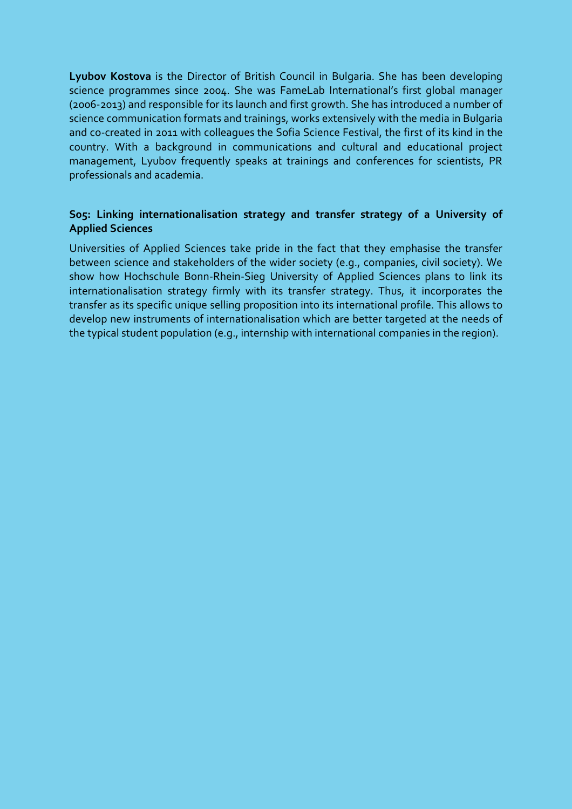**Lyubov Kostova** is the Director of British Council in Bulgaria. She has been developing science programmes since 2004. She was FameLab International's first global manager (2006-2013) and responsible for its launch and first growth. She has introduced a number of science communication formats and trainings, works extensively with the media in Bulgaria and co-created in 2011 with colleagues the Sofia Science Festival, the first of its kind in the country. With a background in communications and cultural and educational project management, Lyubov frequently speaks at trainings and conferences for scientists, PR professionals and academia.

## **S05: Linking internationalisation strategy and transfer strategy of a University of Applied Sciences**

Universities of Applied Sciences take pride in the fact that they emphasise the transfer between science and stakeholders of the wider society (e.g., companies, civil society). We show how Hochschule Bonn-Rhein-Sieg University of Applied Sciences plans to link its internationalisation strategy firmly with its transfer strategy. Thus, it incorporates the transfer as its specific unique selling proposition into its international profile. This allows to develop new instruments of internationalisation which are better targeted at the needs of the typical student population (e.g., internship with international companies in the region).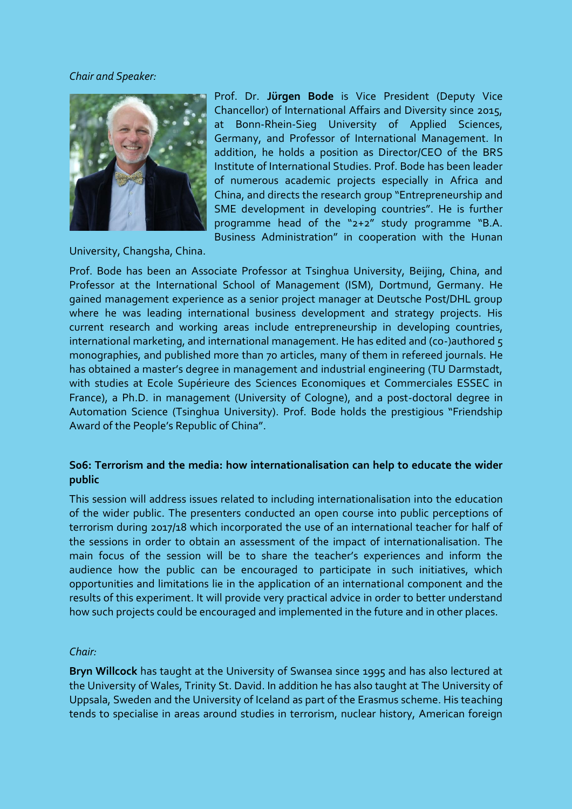#### *Chair and Speaker:*



Prof. Dr. **Jürgen Bode** is Vice President (Deputy Vice Chancellor) of International Affairs and Diversity since 2015, at Bonn-Rhein-Sieg University of Applied Sciences, Germany, and Professor of International Management. In addition, he holds a position as Director/CEO of the BRS Institute of International Studies. Prof. Bode has been leader of numerous academic projects especially in Africa and China, and directs the research group "Entrepreneurship and SME development in developing countries". He is further programme head of the "2+2" study programme "B.A. Business Administration" in cooperation with the Hunan

University, Changsha, China.

Prof. Bode has been an Associate Professor at Tsinghua University, Beijing, China, and Professor at the International School of Management (ISM), Dortmund, Germany. He gained management experience as a senior project manager at Deutsche Post/DHL group where he was leading international business development and strategy projects. His current research and working areas include entrepreneurship in developing countries, international marketing, and international management. He has edited and (co-)authored 5 monographies, and published more than 70 articles, many of them in refereed journals. He has obtained a master's degree in management and industrial engineering (TU Darmstadt, with studies at Ecole Supérieure des Sciences Economiques et Commerciales ESSEC in France), a Ph.D. in management (University of Cologne), and a post-doctoral degree in Automation Science (Tsinghua University). Prof. Bode holds the prestigious "Friendship Award of the People's Republic of China".

### **S06: Terrorism and the media: how internationalisation can help to educate the wider public**

This session will address issues related to including internationalisation into the education of the wider public. The presenters conducted an open course into public perceptions of terrorism during 2017/18 which incorporated the use of an international teacher for half of the sessions in order to obtain an assessment of the impact of internationalisation. The main focus of the session will be to share the teacher's experiences and inform the audience how the public can be encouraged to participate in such initiatives, which opportunities and limitations lie in the application of an international component and the results of this experiment. It will provide very practical advice in order to better understand how such projects could be encouraged and implemented in the future and in other places.

#### *Chair:*

**Bryn Willcock** has taught at the University of Swansea since 1995 and has also lectured at the University of Wales, Trinity St. David. In addition he has also taught at The University of Uppsala, Sweden and the University of Iceland as part of the Erasmus scheme. His teaching tends to specialise in areas around studies in terrorism, nuclear history, American foreign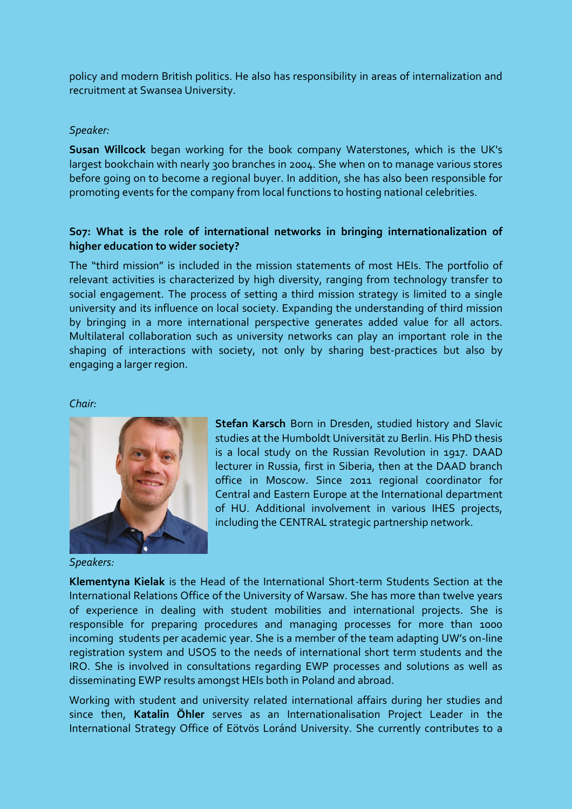policy and modern British politics. He also has responsibility in areas of internalization and recruitment at Swansea University.

### *Speaker:*

**Susan Willcock** began working for the book company Waterstones, which is the UK's largest bookchain with nearly 300 branches in 2004. She when on to manage various stores before going on to become a regional buyer. In addition, she has also been responsible for promoting events for the company from local functions to hosting national celebrities.

### **S07: What is the role of international networks in bringing internationalization of higher education to wider society?**

The "third mission" is included in the mission statements of most HEIs. The portfolio of relevant activities is characterized by high diversity, ranging from technology transfer to social engagement. The process of setting a third mission strategy is limited to a single university and its influence on local society. Expanding the understanding of third mission by bringing in a more international perspective generates added value for all actors. Multilateral collaboration such as university networks can play an important role in the shaping of interactions with society, not only by sharing best-practices but also by engaging a larger region.

#### *Chair:*



*Speakers:*

**Stefan Karsch** Born in Dresden, studied history and Slavic studies at the Humboldt Universität zu Berlin. His PhD thesis is a local study on the Russian Revolution in 1917. DAAD lecturer in Russia, first in Siberia, then at the DAAD branch office in Moscow. Since 2011 regional coordinator for Central and Eastern Europe at the International department of HU. Additional involvement in various IHES projects, including the CENTRAL strategic partnership network.

**Klementyna Kielak** is the Head of the International Short-term Students Section at the International Relations Office of the University of Warsaw. She has more than twelve years of experience in dealing with student mobilities and international projects. She is responsible for preparing procedures and managing processes for more than 1000 incoming students per academic year. She is a member of the team adapting UW's on-line registration system and USOS to the needs of international short term students and the IRO. She is involved in consultations regarding EWP processes and solutions as well as disseminating EWP results amongst HEIs both in Poland and abroad.

Working with student and university related international affairs during her studies and since then, **Katalin Öhler** serves as an Internationalisation Project Leader in the International Strategy Office of Eötvös Loránd University. She currently contributes to a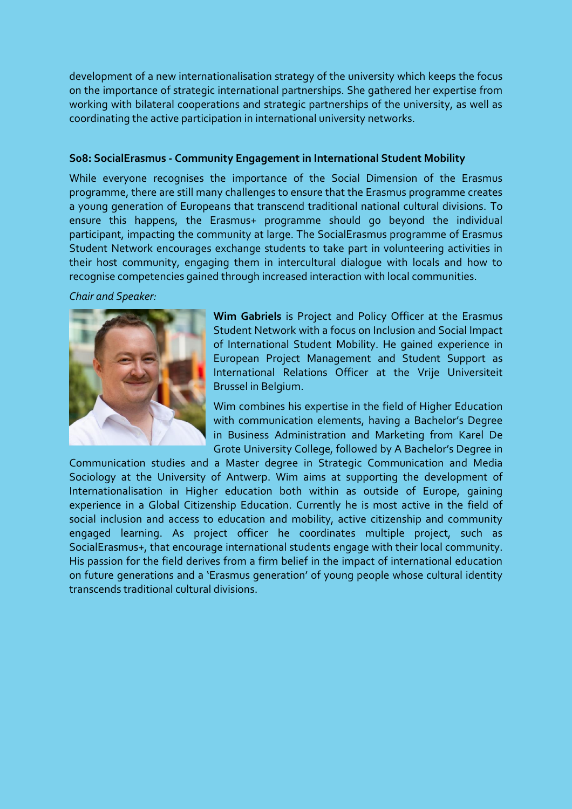development of a new internationalisation strategy of the university which keeps the focus on the importance of strategic international partnerships. She gathered her expertise from working with bilateral cooperations and strategic partnerships of the university, as well as coordinating the active participation in international university networks.

### **S08: SocialErasmus - Community Engagement in International Student Mobility**

While everyone recognises the importance of the Social Dimension of the Erasmus programme, there are still many challenges to ensure that the Erasmus programme creates a young generation of Europeans that transcend traditional national cultural divisions. To ensure this happens, the Erasmus+ programme should go beyond the individual participant, impacting the community at large. The SocialErasmus programme of Erasmus Student Network encourages exchange students to take part in volunteering activities in their host community, engaging them in intercultural dialogue with locals and how to recognise competencies gained through increased interaction with local communities.

#### *Chair and Speaker:*



**Wim Gabriels** is Project and Policy Officer at the Erasmus Student Network with a focus on Inclusion and Social Impact of International Student Mobility. He gained experience in European Project Management and Student Support as International Relations Officer at the Vrije Universiteit Brussel in Belgium.

Wim combines his expertise in the field of Higher Education with communication elements, having a Bachelor's Degree in Business Administration and Marketing from Karel De Grote University College, followed by A Bachelor's Degree in

Communication studies and a Master degree in Strategic Communication and Media Sociology at the University of Antwerp. Wim aims at supporting the development of Internationalisation in Higher education both within as outside of Europe, gaining experience in a Global Citizenship Education. Currently he is most active in the field of social inclusion and access to education and mobility, active citizenship and community engaged learning. As project officer he coordinates multiple project, such as SocialErasmus+, that encourage international students engage with their local community. His passion for the field derives from a firm belief in the impact of international education on future generations and a 'Erasmus generation' of young people whose cultural identity transcends traditional cultural divisions.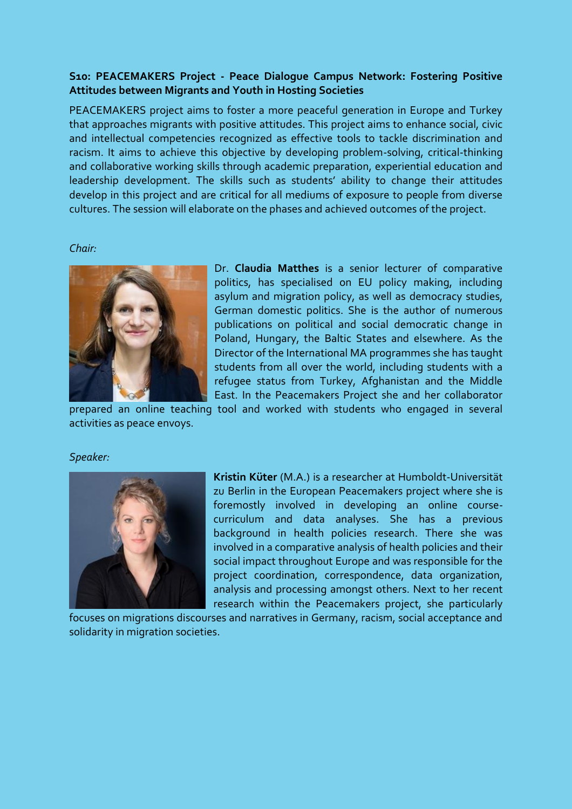### **S10: PEACEMAKERS Project - Peace Dialogue Campus Network: Fostering Positive Attitudes between Migrants and Youth in Hosting Societies**

PEACEMAKERS project aims to foster a more peaceful generation in Europe and Turkey that approaches migrants with positive attitudes. This project aims to enhance social, civic and intellectual competencies recognized as effective tools to tackle discrimination and racism. It aims to achieve this objective by developing problem-solving, critical-thinking and collaborative working skills through academic preparation, experiential education and leadership development. The skills such as students' ability to change their attitudes develop in this project and are critical for all mediums of exposure to people from diverse cultures. The session will elaborate on the phases and achieved outcomes of the project.

### *Chair:*



Dr. **Claudia Matthes** is a senior lecturer of comparative politics, has specialised on EU policy making, including asylum and migration policy, as well as democracy studies, German domestic politics. She is the author of numerous publications on political and social democratic change in Poland, Hungary, the Baltic States and elsewhere. As the Director of the International MA programmes she has taught students from all over the world, including students with a refugee status from Turkey, Afghanistan and the Middle East. In the Peacemakers Project she and her collaborator

prepared an online teaching tool and worked with students who engaged in several activities as peace envoys.

#### *Speaker:*



**Kristin Küter** (M.A.) is a researcher at Humboldt-Universität zu Berlin in the European Peacemakers project where she is foremostly involved in developing an online coursecurriculum and data analyses. She has a previous background in health policies research. There she was involved in a comparative analysis of health policies and their social impact throughout Europe and was responsible for the project coordination, correspondence, data organization, analysis and processing amongst others. Next to her recent research within the Peacemakers project, she particularly

focuses on migrations discourses and narratives in Germany, racism, social acceptance and solidarity in migration societies.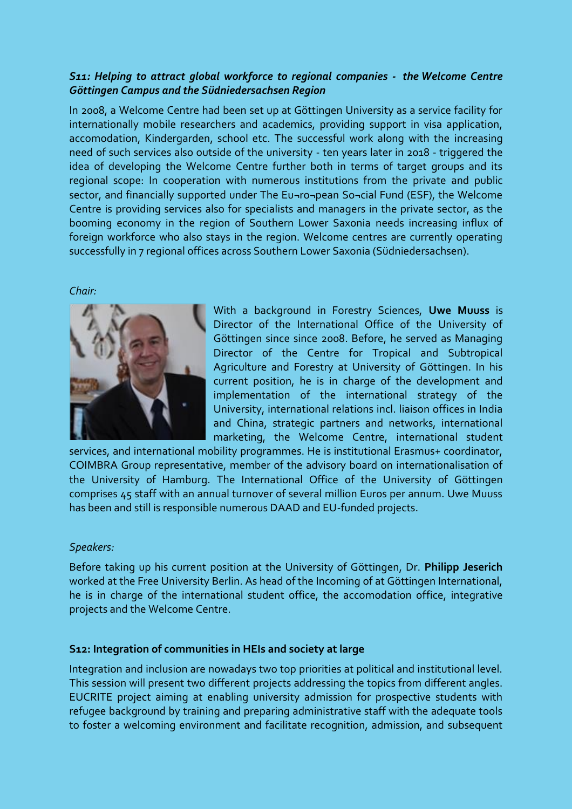## *S11: Helping to attract global workforce to regional companies - the Welcome Centre Göttingen Campus and the Südniedersachsen Region*

In 2008, a Welcome Centre had been set up at Göttingen University as a service facility for internationally mobile researchers and academics, providing support in visa application, accomodation, Kindergarden, school etc. The successful work along with the increasing need of such services also outside of the university - ten years later in 2018 - triggered the idea of developing the Welcome Centre further both in terms of target groups and its regional scope: In cooperation with numerous institutions from the private and public sector, and financially supported under The Eu¬ro¬pean So¬cial Fund (ESF), the Welcome Centre is providing services also for specialists and managers in the private sector, as the booming economy in the region of Southern Lower Saxonia needs increasing influx of foreign workforce who also stays in the region. Welcome centres are currently operating successfully in 7 regional offices across Southern Lower Saxonia (Südniedersachsen).

### *Chair:*



With a background in Forestry Sciences, **Uwe Muuss** is Director of the International Office of the University of Göttingen since since 2008. Before, he served as Managing Director of the Centre for Tropical and Subtropical Agriculture and Forestry at University of Göttingen. In his current position, he is in charge of the development and implementation of the international strategy of the University, international relations incl. liaison offices in India and China, strategic partners and networks, international marketing, the Welcome Centre, international student

services, and international mobility programmes. He is institutional Erasmus+ coordinator, COIMBRA Group representative, member of the advisory board on internationalisation of the University of Hamburg. The International Office of the University of Göttingen comprises 45 staff with an annual turnover of several million Euros per annum. Uwe Muuss has been and still is responsible numerous DAAD and EU-funded projects.

### *Speakers:*

Before taking up his current position at the University of Göttingen, Dr. **Philipp Jeserich** worked at the Free University Berlin. As head of the Incoming of at Göttingen International, he is in charge of the international student office, the accomodation office, integrative projects and the Welcome Centre.

### **S12: Integration of communities in HEIs and society at large**

Integration and inclusion are nowadays two top priorities at political and institutional level. This session will present two different projects addressing the topics from different angles. EUCRITE project aiming at enabling university admission for prospective students with refugee background by training and preparing administrative staff with the adequate tools to foster a welcoming environment and facilitate recognition, admission, and subsequent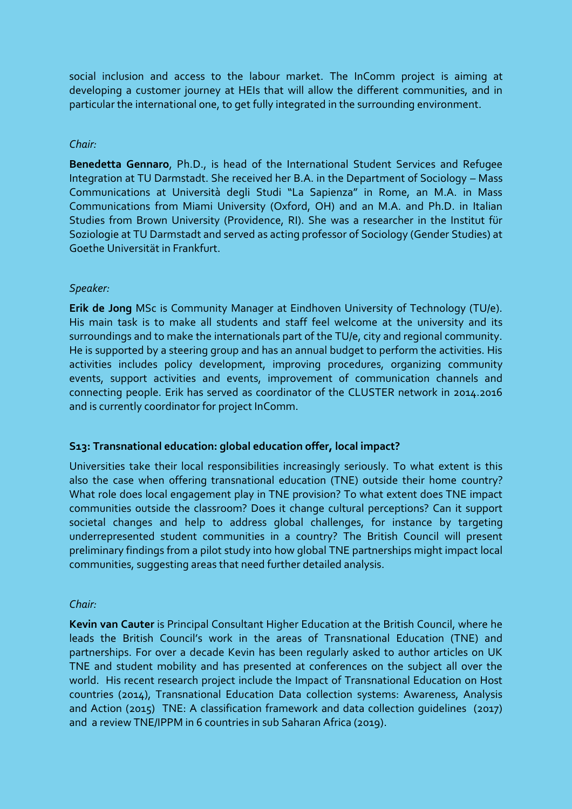social inclusion and access to the labour market. The InComm project is aiming at developing a customer journey at HEIs that will allow the different communities, and in particular the international one, to get fully integrated in the surrounding environment.

### *Chair:*

**Benedetta Gennaro**, Ph.D., is head of the International Student Services and Refugee Integration at TU Darmstadt. She received her B.A. in the Department of Sociology – Mass Communications at Università degli Studi "La Sapienza" in Rome, an M.A. in Mass Communications from Miami University (Oxford, OH) and an M.A. and Ph.D. in Italian Studies from Brown University (Providence, RI). She was a researcher in the Institut für Soziologie at TU Darmstadt and served as acting professor of Sociology (Gender Studies) at Goethe Universität in Frankfurt.

### *Speaker:*

**Erik de Jong** MSc is Community Manager at Eindhoven University of Technology (TU/e). His main task is to make all students and staff feel welcome at the university and its surroundings and to make the internationals part of the TU/e, city and regional community. He is supported by a steering group and has an annual budget to perform the activities. His activities includes policy development, improving procedures, organizing community events, support activities and events, improvement of communication channels and connecting people. Erik has served as coordinator of the CLUSTER network in 2014.2016 and is currently coordinator for project InComm.

### **S13: Transnational education: global education offer, local impact?**

Universities take their local responsibilities increasingly seriously. To what extent is this also the case when offering transnational education (TNE) outside their home country? What role does local engagement play in TNE provision? To what extent does TNE impact communities outside the classroom? Does it change cultural perceptions? Can it support societal changes and help to address global challenges, for instance by targeting underrepresented student communities in a country? The British Council will present preliminary findings from a pilot study into how global TNE partnerships might impact local communities, suggesting areas that need further detailed analysis.

### *Chair:*

**Kevin van Cauter** is Principal Consultant Higher Education at the British Council, where he leads the British Council's work in the areas of Transnational Education (TNE) and partnerships. For over a decade Kevin has been regularly asked to author articles on UK TNE and student mobility and has presented at conferences on the subject all over the world. His recent research project include the Impact of Transnational Education on Host countries (2014), Transnational Education Data collection systems: Awareness, Analysis and Action (2015) TNE: A classification framework and data collection guidelines (2017) and a review TNE/IPPM in 6 countries in sub Saharan Africa (2019).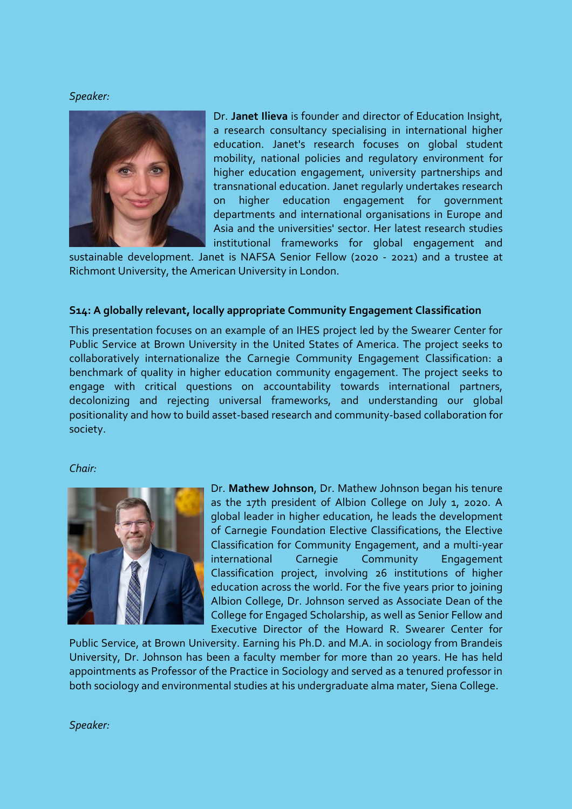#### *Speaker:*



Dr. **Janet Ilieva** is founder and director of Education Insight, a research consultancy specialising in international higher education. Janet's research focuses on global student mobility, national policies and regulatory environment for higher education engagement, university partnerships and transnational education. Janet regularly undertakes research on higher education engagement for government departments and international organisations in Europe and Asia and the universities' sector. Her latest research studies institutional frameworks for global engagement and

sustainable development. Janet is NAFSA Senior Fellow (2020 - 2021) and a trustee at Richmont University, the American University in London.

### **S14: A globally relevant, locally appropriate Community Engagement Classification**

This presentation focuses on an example of an IHES project led by the Swearer Center for Public Service at Brown University in the United States of America. The project seeks to collaboratively internationalize the Carnegie Community Engagement Classification: a benchmark of quality in higher education community engagement. The project seeks to engage with critical questions on accountability towards international partners, decolonizing and rejecting universal frameworks, and understanding our global positionality and how to build asset-based research and community-based collaboration for society.

#### *Chair:*



Dr. **Mathew Johnson**, Dr. Mathew Johnson began his tenure as the 17th president of Albion College on July 1, 2020. A global leader in higher education, he leads the development of Carnegie Foundation Elective Classifications, the Elective Classification for Community Engagement, and a multi-year international Carnegie Community Engagement Classification project, involving 26 institutions of higher education across the world. For the five years prior to joining Albion College, Dr. Johnson served as Associate Dean of the College for Engaged Scholarship, as well as Senior Fellow and Executive Director of the Howard R. Swearer Center for

Public Service, at Brown University. Earning his Ph.D. and M.A. in sociology from Brandeis University, Dr. Johnson has been a faculty member for more than 20 years. He has held appointments as Professor of the Practice in Sociology and served as a tenured professor in both sociology and environmental studies at his undergraduate alma mater, Siena College.

*Speaker:*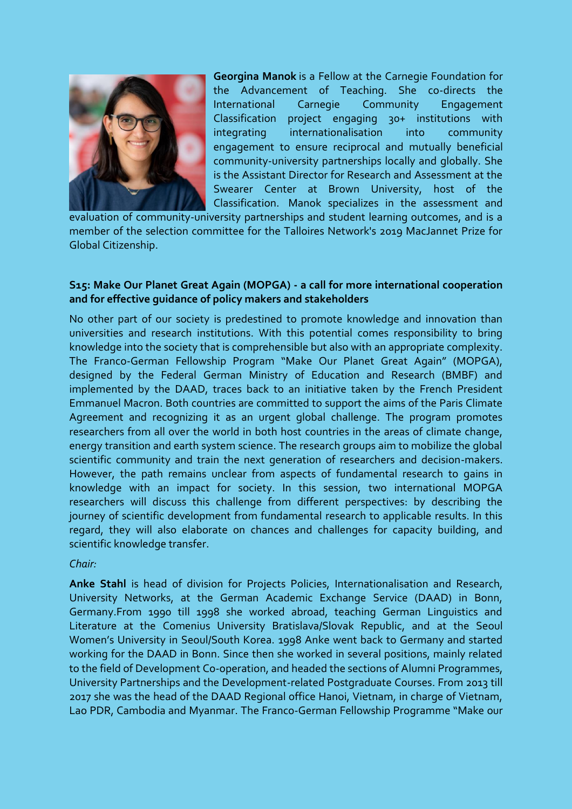

**Georgina Manok** is a Fellow at the Carnegie Foundation for the Advancement of Teaching. She co-directs the International Carnegie Community Engagement Classification project engaging 30+ institutions with integrating internationalisation into community engagement to ensure reciprocal and mutually beneficial community-university partnerships locally and globally. She is the Assistant Director for Research and Assessment at the Swearer Center at Brown University, host of the Classification. Manok specializes in the assessment and

evaluation of community-university partnerships and student learning outcomes, and is a member of the selection committee for the Talloires Network's 2019 MacJannet Prize for Global Citizenship.

### **S15: Make Our Planet Great Again (MOPGA) - a call for more international cooperation and for effective guidance of policy makers and stakeholders**

No other part of our society is predestined to promote knowledge and innovation than universities and research institutions. With this potential comes responsibility to bring knowledge into the society that is comprehensible but also with an appropriate complexity. The Franco-German Fellowship Program "Make Our Planet Great Again" (MOPGA), designed by the Federal German Ministry of Education and Research (BMBF) and implemented by the DAAD, traces back to an initiative taken by the French President Emmanuel Macron. Both countries are committed to support the aims of the Paris Climate Agreement and recognizing it as an urgent global challenge. The program promotes researchers from all over the world in both host countries in the areas of climate change, energy transition and earth system science. The research groups aim to mobilize the global scientific community and train the next generation of researchers and decision-makers. However, the path remains unclear from aspects of fundamental research to gains in knowledge with an impact for society. In this session, two international MOPGA researchers will discuss this challenge from different perspectives: by describing the journey of scientific development from fundamental research to applicable results. In this regard, they will also elaborate on chances and challenges for capacity building, and scientific knowledge transfer.

*Chair:*

**Anke Stahl** is head of division for Projects Policies, Internationalisation and Research, University Networks, at the German Academic Exchange Service (DAAD) in Bonn, Germany.From 1990 till 1998 she worked abroad, teaching German Linguistics and Literature at the Comenius University Bratislava/Slovak Republic, and at the Seoul Women's University in Seoul/South Korea. 1998 Anke went back to Germany and started working for the DAAD in Bonn. Since then she worked in several positions, mainly related to the field of Development Co-operation, and headed the sections of Alumni Programmes, University Partnerships and the Development-related Postgraduate Courses. From 2013 till 2017 she was the head of the DAAD Regional office Hanoi, Vietnam, in charge of Vietnam, Lao PDR, Cambodia and Myanmar. The Franco-German Fellowship Programme "Make our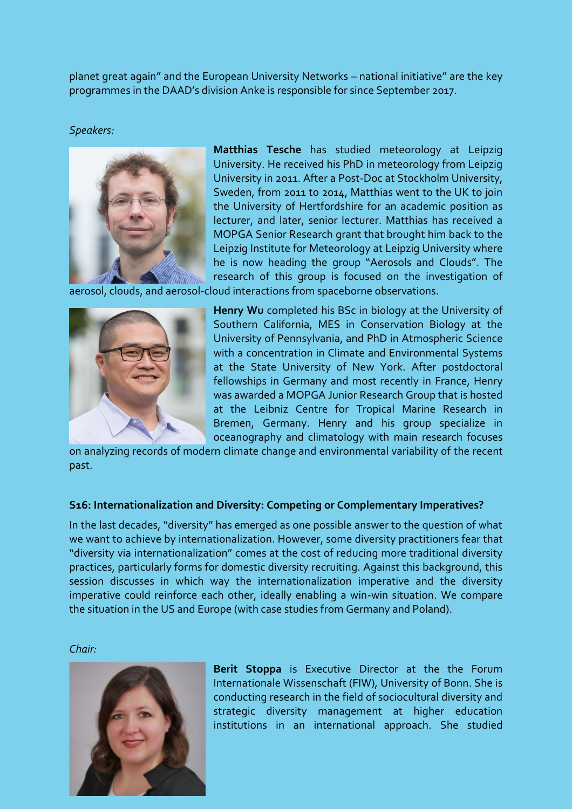planet great again" and the European University Networks – national initiative" are the key programmes in the DAAD's division Anke is responsible for since September 2017.

#### *Speakers:*



**Matthias Tesche** has studied meteorology at Leipzig University. He received his PhD in meteorology from Leipzig University in 2011. After a Post-Doc at Stockholm University, Sweden, from 2011 to 2014, Matthias went to the UK to join the University of Hertfordshire for an academic position as lecturer, and later, senior lecturer. Matthias has received a MOPGA Senior Research grant that brought him back to the Leipzig Institute for Meteorology at Leipzig University where he is now heading the group "Aerosols and Clouds". The research of this group is focused on the investigation of

aerosol, clouds, and aerosol-cloud interactions from spaceborne observations.



**Henry Wu** completed his BSc in biology at the University of Southern California, MES in Conservation Biology at the University of Pennsylvania, and PhD in Atmospheric Science with a concentration in Climate and Environmental Systems at the State University of New York. After postdoctoral fellowships in Germany and most recently in France, Henry was awarded a MOPGA Junior Research Group that is hosted at the Leibniz Centre for Tropical Marine Research in Bremen, Germany. Henry and his group specialize in oceanography and climatology with main research focuses

on analyzing records of modern climate change and environmental variability of the recent past.

### **S16: Internationalization and Diversity: Competing or Complementary Imperatives?**

In the last decades, "diversity" has emerged as one possible answer to the question of what we want to achieve by internationalization. However, some diversity practitioners fear that "diversity via internationalization" comes at the cost of reducing more traditional diversity practices, particularly forms for domestic diversity recruiting. Against this background, this session discusses in which way the internationalization imperative and the diversity imperative could reinforce each other, ideally enabling a win-win situation. We compare the situation in the US and Europe (with case studies from Germany and Poland).

*Chair:*



**Berit Stoppa** is Executive Director at the the Forum Internationale Wissenschaft (FIW), University of Bonn. She is conducting research in the field of sociocultural diversity and strategic diversity management at higher education institutions in an international approach. She studied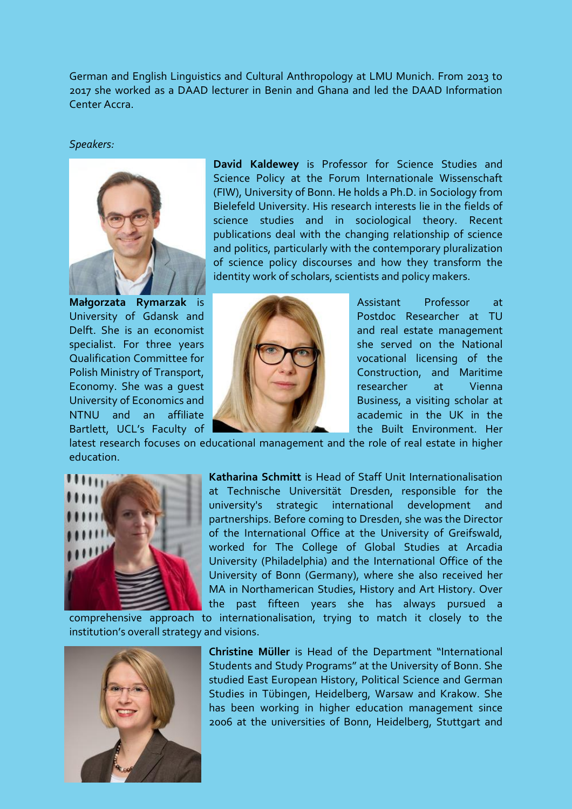German and English Linguistics and Cultural Anthropology at LMU Munich. From 2013 to 2017 she worked as a DAAD lecturer in Benin and Ghana and led the DAAD Information Center Accra.

#### *Speakers:*



**David Kaldewey** is Professor for Science Studies and Science Policy at the Forum Internationale Wissenschaft (FIW), University of Bonn. He holds a Ph.D. in Sociology from Bielefeld University. His research interests lie in the fields of science studies and in sociological theory. Recent publications deal with the changing relationship of science and politics, particularly with the contemporary pluralization of science policy discourses and how they transform the identity work of scholars, scientists and policy makers.



University of Gdansk and **Postdoc Researcher at TU** Delft. She is an economist and the state management specialist. For three years she served on the National Qualification Committee for **VIII COMPANY** vocational licensing of the Polish Ministry of Transport, **Construction**, and Maritime Economy. She was a quest **researcher** at Vienna University of Economics and **Business, a visiting scholar at** NTNU and an affiliate **All Manual Communist Communist Communist Communist Communist Communist Communist Communist Communist Communist Communist Communist Communist Communist Communist Communist Communist Communist Communis** Bartlett, UCL's Faculty of **The Built Environment.** Her

latest research focuses on educational management and the role of real estate in higher education.



**Katharina Schmitt** is Head of Staff Unit Internationalisation at Technische Universität Dresden, responsible for the university's strategic international development and partnerships. Before coming to Dresden, she was the Director of the International Office at the University of Greifswald, worked for The College of Global Studies at Arcadia University (Philadelphia) and the International Office of the University of Bonn (Germany), where she also received her MA in Northamerican Studies, History and Art History. Over the past fifteen years she has always pursued a

comprehensive approach to internationalisation, trying to match it closely to the institution's overall strategy and visions.



**Christine Müller** is Head of the Department "International Students and Study Programs" at the University of Bonn. She studied East European History, Political Science and German Studies in Tübingen, Heidelberg, Warsaw and Krakow. She has been working in higher education management since 2006 at the universities of Bonn, Heidelberg, Stuttgart and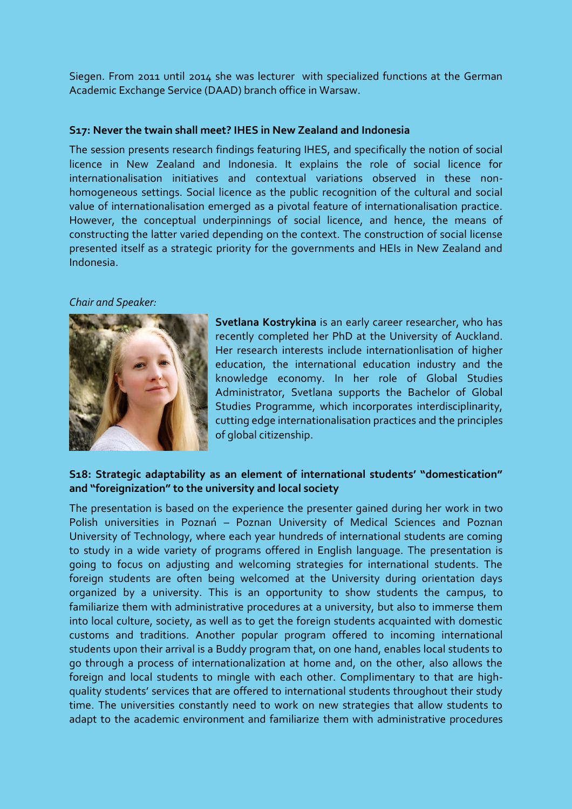Siegen. From 2011 until 2014 she was lecturer with specialized functions at the German Academic Exchange Service (DAAD) branch office in Warsaw.

### **S17: Never the twain shall meet? IHES in New Zealand and Indonesia**

The session presents research findings featuring IHES, and specifically the notion of social licence in New Zealand and Indonesia. It explains the role of social licence for internationalisation initiatives and contextual variations observed in these nonhomogeneous settings. Social licence as the public recognition of the cultural and social value of internationalisation emerged as a pivotal feature of internationalisation practice. However, the conceptual underpinnings of social licence, and hence, the means of constructing the latter varied depending on the context. The construction of social license presented itself as a strategic priority for the governments and HEIs in New Zealand and Indonesia.

### *Chair and Speaker:*



**Svetlana Kostrykina** is an early career researcher, who has recently completed her PhD at the University of Auckland. Her research interests include internationlisation of higher education, the international education industry and the knowledge economy. In her role of Global Studies Administrator, Svetlana supports the Bachelor of Global Studies Programme, which incorporates interdisciplinarity, cutting edge internationalisation practices and the principles of global citizenship.

## **S18: Strategic adaptability as an element of international students' "domestication" and "foreignization" to the university and local society**

The presentation is based on the experience the presenter gained during her work in two Polish universities in Poznań – Poznan University of Medical Sciences and Poznan University of Technology, where each year hundreds of international students are coming to study in a wide variety of programs offered in English language. The presentation is going to focus on adjusting and welcoming strategies for international students. The foreign students are often being welcomed at the University during orientation days organized by a university. This is an opportunity to show students the campus, to familiarize them with administrative procedures at a university, but also to immerse them into local culture, society, as well as to get the foreign students acquainted with domestic customs and traditions. Another popular program offered to incoming international students upon their arrival is a Buddy program that, on one hand, enables local students to go through a process of internationalization at home and, on the other, also allows the foreign and local students to mingle with each other. Complimentary to that are highquality students' services that are offered to international students throughout their study time. The universities constantly need to work on new strategies that allow students to adapt to the academic environment and familiarize them with administrative procedures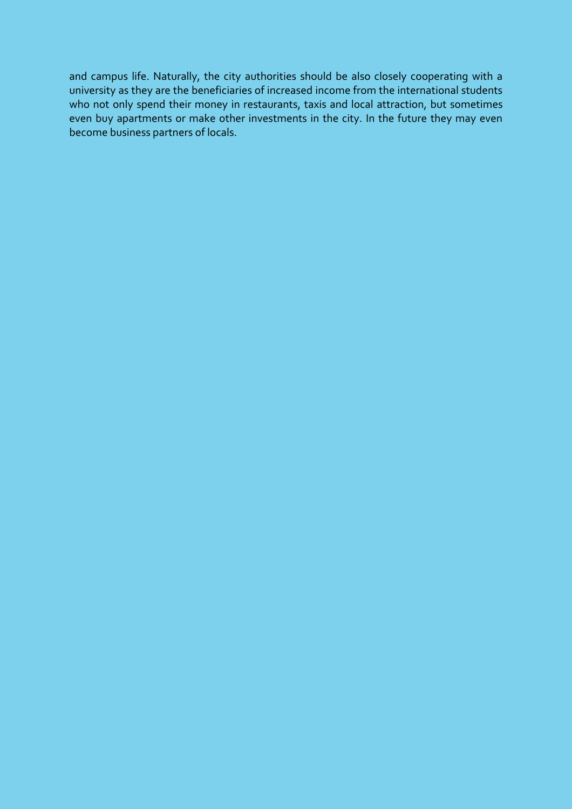and campus life. Naturally, the city authorities should be also closely cooperating with a university as they are the beneficiaries of increased income from the international students who not only spend their money in restaurants, taxis and local attraction, but sometimes even buy apartments or make other investments in the city. In the future they may even become business partners of locals.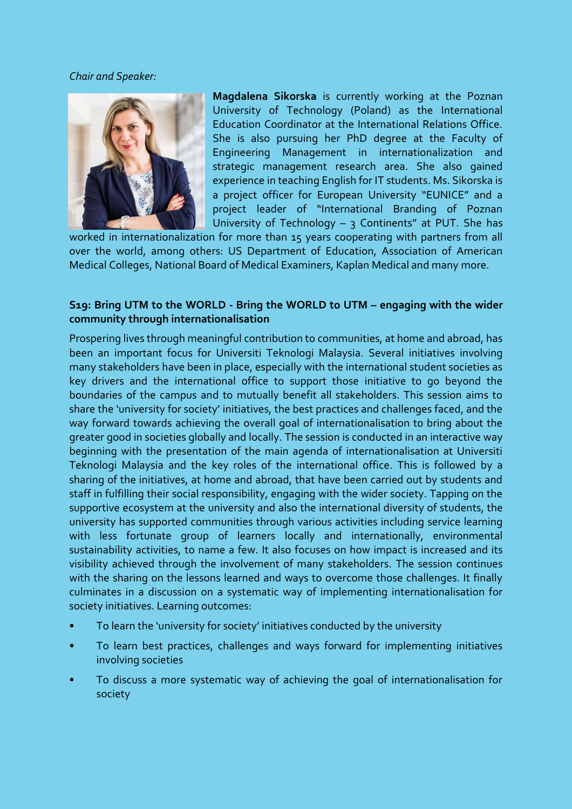### *Chair and Speaker:*



**Magdalena Sikorska** is currently working at the Poznan University of Technology (Poland) as the International Education Coordinator at the International Relations Office. She is also pursuing her PhD degree at the Faculty of Engineering Management in internationalization and strategic management research area. She also gained experience in teaching English for IT students. Ms. Sikorska is a project officer for European University "EUNICE" and a project leader of "International Branding of Poznan University of Technology  $-$  3 Continents" at PUT. She has

worked in internationalization for more than 15 years cooperating with partners from all over the world, among others: US Department of Education, Association of American Medical Colleges, National Board of Medical Examiners, Kaplan Medical and many more.

### **S19: Bring UTM to the WORLD - Bring the WORLD to UTM – engaging with the wider community through internationalisation**

Prospering lives through meaningful contribution to communities, at home and abroad, has been an important focus for Universiti Teknologi Malaysia. Several initiatives involving many stakeholders have been in place, especially with the international student societies as key drivers and the international office to support those initiative to go beyond the boundaries of the campus and to mutually benefit all stakeholders. This session aims to share the 'university for society' initiatives, the best practices and challenges faced, and the way forward towards achieving the overall goal of internationalisation to bring about the greater good in societies globally and locally. The session is conducted in an interactive way beginning with the presentation of the main agenda of internationalisation at Universiti Teknologi Malaysia and the key roles of the international office. This is followed by a sharing of the initiatives, at home and abroad, that have been carried out by students and staff in fulfilling their social responsibility, engaging with the wider society. Tapping on the supportive ecosystem at the university and also the international diversity of students, the university has supported communities through various activities including service learning with less fortunate group of learners locally and internationally, environmental sustainability activities, to name a few. It also focuses on how impact is increased and its visibility achieved through the involvement of many stakeholders. The session continues with the sharing on the lessons learned and ways to overcome those challenges. It finally culminates in a discussion on a systematic way of implementing internationalisation for society initiatives. Learning outcomes:

- To learn the 'university for society' initiatives conducted by the university
- To learn best practices, challenges and ways forward for implementing initiatives involving societies
- To discuss a more systematic way of achieving the goal of internationalisation for society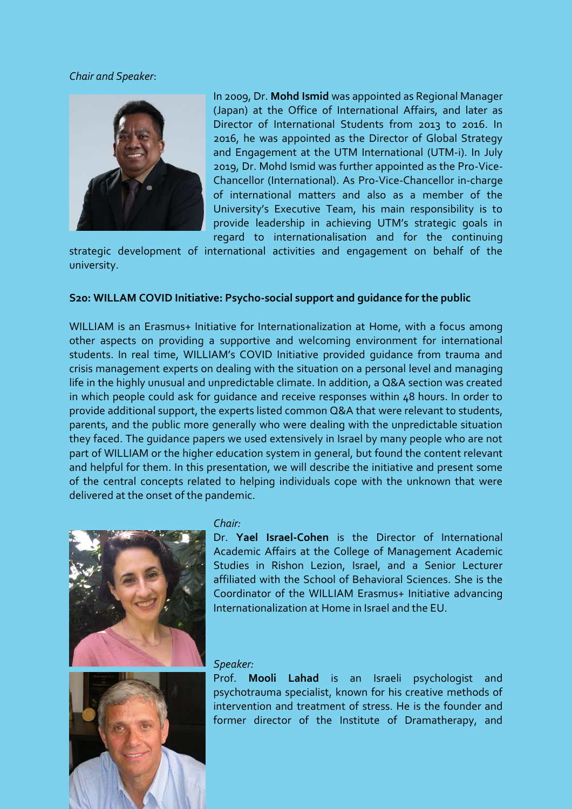#### *Chair and Speaker*:



In 2009, Dr. **Mohd Ismid** was appointed as Regional Manager (Japan) at the Office of International Affairs, and later as Director of International Students from 2013 to 2016. In 2016, he was appointed as the Director of Global Strategy and Engagement at the UTM International (UTM-i). In July 2019, Dr. Mohd Ismid was further appointed as the Pro-Vice-Chancellor (International). As Pro-Vice-Chancellor in-charge of international matters and also as a member of the University's Executive Team, his main responsibility is to provide leadership in achieving UTM's strategic goals in regard to internationalisation and for the continuing

strategic development of international activities and engagement on behalf of the university.

#### **S20: WILLAM COVID Initiative: Psycho-social support and guidance for the public**

WILLIAM is an Erasmus+ Initiative for Internationalization at Home, with a focus among other aspects on providing a supportive and welcoming environment for international students. In real time, WILLIAM's COVID Initiative provided guidance from trauma and crisis management experts on dealing with the situation on a personal level and managing life in the highly unusual and unpredictable climate. In addition, a Q&A section was created in which people could ask for guidance and receive responses within 48 hours. In order to provide additional support, the experts listed common Q&A that were relevant to students, parents, and the public more generally who were dealing with the unpredictable situation they faced. The guidance papers we used extensively in Israel by many people who are not part of WILLIAM or the higher education system in general, but found the content relevant and helpful for them. In this presentation, we will describe the initiative and present some of the central concepts related to helping individuals cope with the unknown that were delivered at the onset of the pandemic.





#### *Chair:*

Dr. **Yael Israel-Cohen** is the Director of International Academic Affairs at the College of Management Academic Studies in Rishon Lezion, Israel, and a Senior Lecturer affiliated with the School of Behavioral Sciences. She is the Coordinator of the WILLIAM Erasmus+ Initiative advancing Internationalization at Home in Israel and the EU.

#### *Speaker:*

Prof. **Mooli Lahad** is an Israeli psychologist and psychotrauma specialist, known for his creative methods of intervention and treatment of stress. He is the founder and former director of the Institute of Dramatherapy, and